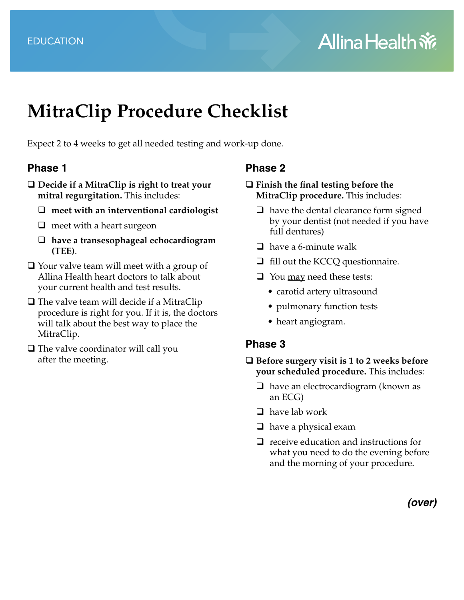# **MitraClip Procedure Checklist**

Expect 2 to 4 weeks to get all needed testing and work-up done.

#### **Phase 1**

- **Decide if a MitraClip is right to treat your mitral regurgitation.** This includes:
	- **meet with an interventional cardiologist**
	- $\Box$  meet with a heart surgeon
	- **have a transesophageal echocardiogram (TEE)**.
- $\Box$  Your valve team will meet with a group of Allina Health heart doctors to talk about your current health and test results.
- $\Box$  The valve team will decide if a MitraClip procedure is right for you. If it is, the doctors will talk about the best way to place the MitraClip.
- $\Box$  The valve coordinator will call you after the meeting.

### **Phase 2**

#### **Finish the final testing before the MitraClip procedure.** This includes:

- $\Box$  have the dental clearance form signed by your dentist (not needed if you have full dentures)
- $\Box$  have a 6-minute walk
- $\Box$  fill out the KCCQ questionnaire.
- $\Box$  You <u>may</u> need these tests:
	- carotid artery ultrasound
	- pulmonary function tests
	- heart angiogram.

### **Phase 3**

- **Before surgery visit is 1 to 2 weeks before your scheduled procedure.** This includes:
	- $\Box$  have an electrocardiogram (known as an ECG)
	- $\Box$  have lab work
	- $\Box$  have a physical exam
	- $\Box$  receive education and instructions for what you need to do the evening before and the morning of your procedure.